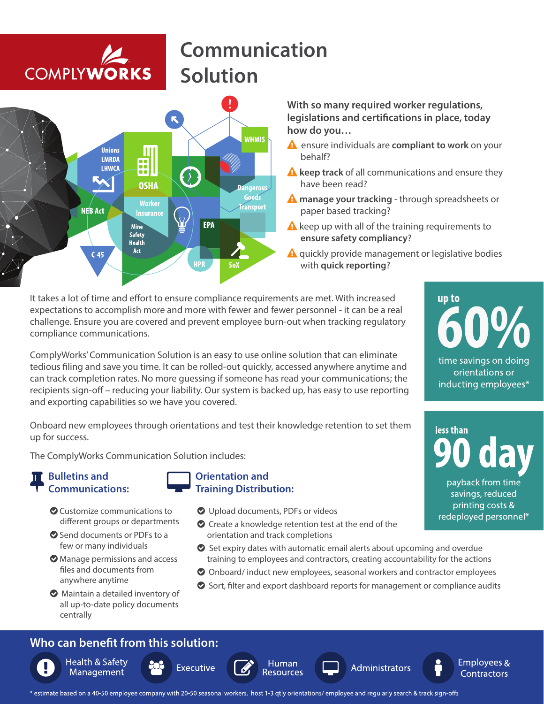## **COMPLYWORKS**

## **Communication Solution**



**With so many required worker regulations,**  legislations and certifications in place, today **how do you…** 

- ensure individuals are **compliant to work** on your behalf?
- **A** keep track of all communications and ensure they have been read?
- **manage your tracking** through spreadsheets or paper based tracking?
- $\triangle$  keep up with all of the training requirements to **ensure safety compliancy**?
- $\triangle$  quickly provide management or legislative bodies with **quick reporting**?

It takes a lot of time and effort to ensure compliance requirements are met. With increased expectations to accomplish more and more with fewer and fewer personnel - it can be a real challenge. Ensure you are covered and prevent employee burn-out when tracking regulatory compliance communications.

ComplyWorks' Communication Solution is an easy to use online solution that can eliminate tedious filing and save you time. It can be rolled-out quickly, accessed anywhere anytime and can track completion rates. No more guessing if someone has read your communications; the recipients sign-off - reducing your liability. Our system is backed up, has easy to use reporting and exporting capabilities so we have you covered.

Onboard new employees through orientations and test their knowledge retention to set them up for success.

The ComplyWorks Communication Solution includes:

#### **Bulletins and Communications:**

**Executive** 

- Customize communications to different groups or departments
- Send documents or PDFs to a few or many individuals
- Manage permissions and access files and documents from anywhere anytime
- $\bullet$  Maintain a detailed inventory of all up-to-date policy documents centrally

### **Who can benefit from this solution:**

**Health & Safety** Management



#### **Orientation and Training Distribution:**

- O Upload documents, PDFs or videos
- Create a knowledge retention test at the end of the orientation and track completions
- Set expiry dates with automatic email alerts about upcoming and overdue training to employees and contractors, creating accountability for the actions
- Onboard/ induct new employees, seasonal workers and contractor employees
- Sort, filter and export dashboard reports for management or compliance audits

Administrators



up to

600

time savings on doing orientations or inducting employees\*

savings, reduced printing costs & redeployed personnel\*

Employees &

**Contractors** 

\* estimate based on a 40-50 employee company with 20-50 seasonal workers, host 1-3 qtly orientations/ employee and regularly search & track sign-offs

Human

**Resources**